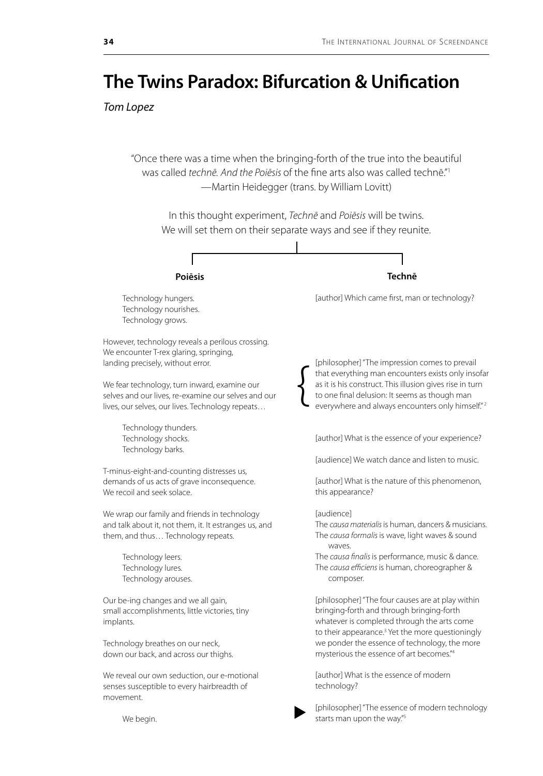## **The Twins Paradox: Bifurcation & Unification**

*Tom Lopez*

"Once there was a time when the bringing-forth of the true into the beautiful was called *technē. And the Poiēsis* of the fine arts also was called technē."1 —Martin Heidegger (trans. by William Lovitt)

In this thought experiment, *Technē* and *Poiēsis* will be twins. We will set them on their separate ways and see if they reunite.



[author] What is the essence of modern technology?

We begin.

movement.

We reveal our own seduction, our e-motional senses susceptible to every hairbreadth of

 $\blacktriangleright$ 

[philosopher] "The essence of modern technology starts man upon the way."5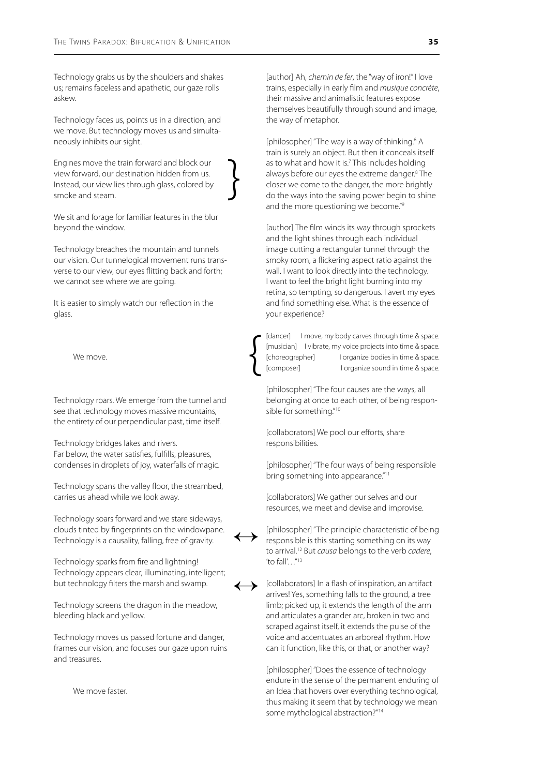Technology grabs us by the shoulders and shakes us; remains faceless and apathetic, our gaze rolls askew.

Technology faces us, points us in a direction, and we move. But technology moves us and simultaneously inhibits our sight.

Engines move the train forward and block our view forward, our destination hidden from us. Instead, our view lies through glass, colored by smoke and steam.

}

{

 $\leftrightarrow$ 

 $\leftrightarrow$ 

We sit and forage for familiar features in the blur beyond the window.

Technology breaches the mountain and tunnels our vision. Our tunnelogical movement runs transverse to our view, our eyes flitting back and forth; we cannot see where we are going.

It is easier to simply watch our reflection in the glass.

We move.

Technology roars. We emerge from the tunnel and see that technology moves massive mountains, the entirety of our perpendicular past, time itself.

Technology bridges lakes and rivers. Far below, the water satisfies, fulfills, pleasures, condenses in droplets of joy, waterfalls of magic.

Technology spans the valley floor, the streambed, carries us ahead while we look away.

Technology soars forward and we stare sideways, clouds tinted by fingerprints on the windowpane. Technology is a causality, falling, free of gravity.

Technology sparks from fire and lightning! Technology appears clear, illuminating, intelligent; but technology filters the marsh and swamp.

Technology screens the dragon in the meadow, bleeding black and yellow.

Technology moves us passed fortune and danger, frames our vision, and focuses our gaze upon ruins and treasures.

We move faster.

[author] Ah, *chemin de fer*, the "way of iron!" I love trains, especially in early film and *musique concrète*, their massive and animalistic features expose themselves beautifully through sound and image, the way of metaphor.

[philosopher] "The way is a way of thinking.<sup>6</sup> A train is surely an object. But then it conceals itself as to what and how it is.<sup>7</sup> This includes holding always before our eyes the extreme danger.<sup>8</sup> The closer we come to the danger, the more brightly do the ways into the saving power begin to shine and the more questioning we become."<sup>9</sup>

[author] The film winds its way through sprockets and the light shines through each individual image cutting a rectangular tunnel through the smoky room, a flickering aspect ratio against the wall. I want to look directly into the technology. I want to feel the bright light burning into my retina, so tempting, so dangerous. I avert my eyes and find something else. What is the essence of your experience?

[dancer] I move, my body carves through time & space. [musician] I vibrate, my voice projects into time & space. [choreographer] I organize bodies in time & space. [composer] lorganize sound in time & space.

[philosopher] "The four causes are the ways, all belonging at once to each other, of being responsible for something."10

[collaborators] We pool our efforts, share responsibilities.

[philosopher] "The four ways of being responsible bring something into appearance."<sup>11</sup>

[collaborators] We gather our selves and our resources, we meet and devise and improvise.

[philosopher] "The principle characteristic of being responsible is this starting something on its way to arrival.12 But *causa* belongs to the verb *cadere*, 'to fall'…"13

[collaborators] In a flash of inspiration, an artifact arrives! Yes, something falls to the ground, a tree limb; picked up, it extends the length of the arm and articulates a grander arc, broken in two and scraped against itself, it extends the pulse of the voice and accentuates an arboreal rhythm. How can it function, like this, or that, or another way?

[philosopher] "Does the essence of technology endure in the sense of the permanent enduring of an Idea that hovers over everything technological, thus making it seem that by technology we mean some mythological abstraction?"14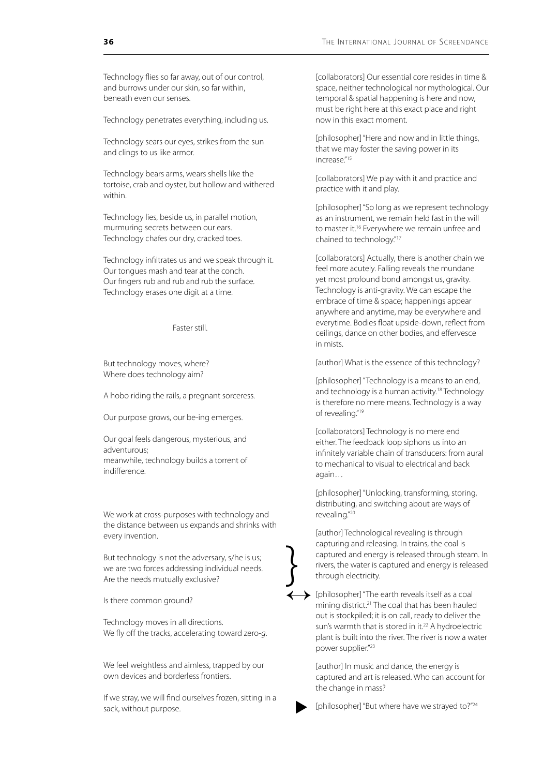Technology flies so far away, out of our control, and burrows under our skin, so far within, beneath even our senses.

Technology penetrates everything, including us.

Technology sears our eyes, strikes from the sun and clings to us like armor.

Technology bears arms, wears shells like the tortoise, crab and oyster, but hollow and withered within.

Technology lies, beside us, in parallel motion, murmuring secrets between our ears. Technology chafes our dry, cracked toes.

Technology infiltrates us and we speak through it. Our tongues mash and tear at the conch. Our fingers rub and rub and rub the surface. Technology erases one digit at a time.

Faster still.

But technology moves, where? Where does technology aim?

A hobo riding the rails, a pregnant sorceress.

Our purpose grows, our be-ing emerges.

Our goal feels dangerous, mysterious, and adventurous; meanwhile, technology builds a torrent of indifference.

We work at cross-purposes with technology and the distance between us expands and shrinks with every invention.

But technology is not the adversary, s/he is us; we are two forces addressing individual needs. Are the needs mutually exclusive?

}<br>}

Is there common ground?

Technology moves in all directions. We fly off the tracks, accelerating toward zero-*g*.

We feel weightless and aimless, trapped by our own devices and borderless frontiers.

If we stray, we will find ourselves frozen, sitting in a sack, without purpose.

[collaborators] Our essential core resides in time & space, neither technological nor mythological. Our temporal & spatial happening is here and now, must be right here at this exact place and right now in this exact moment.

[philosopher] "Here and now and in little things, that we may foster the saving power in its increase."15

[collaborators] We play with it and practice and practice with it and play.

[philosopher] "So long as we represent technology as an instrument, we remain held fast in the will to master it.<sup>16</sup> Everywhere we remain unfree and chained to technology."17

[collaborators] Actually, there is another chain we feel more acutely. Falling reveals the mundane yet most profound bond amongst us, gravity. Technology is anti-gravity. We can escape the embrace of time & space; happenings appear anywhere and anytime, may be everywhere and everytime. Bodies float upside-down, reflect from ceilings, dance on other bodies, and effervesce in mists.

[author] What is the essence of this technology?

[philosopher] "Technology is a means to an end, and technology is a human activity.<sup>18</sup> Technology is therefore no mere means. Technology is a way of revealing."19

[collaborators] Technology is no mere end either. The feedback loop siphons us into an infinitely variable chain of transducers: from aural to mechanical to visual to electrical and back again…

[philosopher] "Unlocking, transforming, storing, distributing, and switching about are ways of revealing."20

[author] Technological revealing is through capturing and releasing. In trains, the coal is captured and energy is released through steam. In rivers, the water is captured and energy is released through electricity.

 $\longleftrightarrow$  [philosopher] "The earth reveals itself as a coal mining district.<sup>21</sup> The coal that has been hauled mining district.21 The coal that has been hauled out is stockpiled; it is on call, ready to deliver the sun's warmth that is stored in it.<sup>22</sup> A hydroelectric plant is built into the river. The river is now a water power supplier."23

> [author] In music and dance, the energy is captured and art is released. Who can account for the change in mass?

[philosopher] "But where have we strayed to?"<sup>24</sup>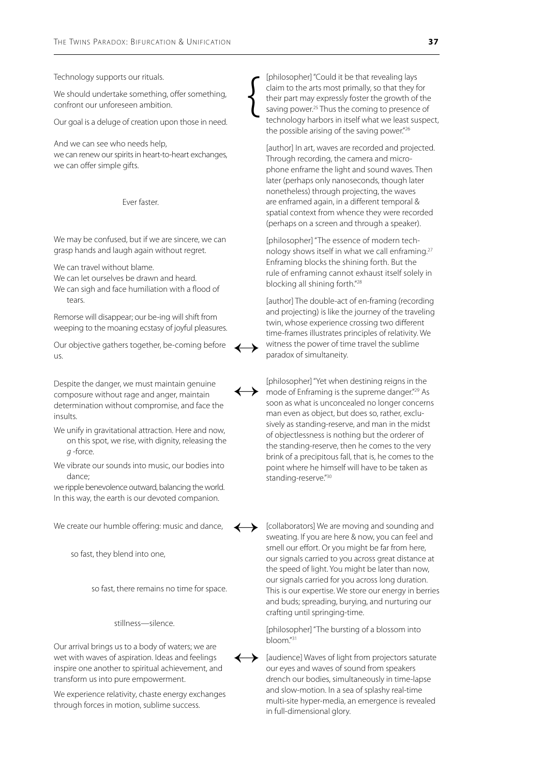Technology supports our rituals.

We should undertake something, offer something, confront our unforeseen ambition.

Our goal is a deluge of creation upon those in need.

And we can see who needs help, we can renew our spirits in heart-to-heart exchanges, we can offer simple gifts.

Ever faster.

We may be confused, but if we are sincere, we can grasp hands and laugh again without regret.

We can travel without blame.

We can let ourselves be drawn and heard. We can sigh and face humiliation with a flood of

tears.

Remorse will disappear; our be-ing will shift from weeping to the moaning ecstasy of joyful pleasures.

Our objective gathers together, be-coming before us.

Despite the danger, we must maintain genuine composure without rage and anger, maintain determination without compromise, and face the insults.

We unify in gravitational attraction. Here and now, on this spot, we rise, with dignity, releasing the *g* -force.

We vibrate our sounds into music, our bodies into dance;

we ripple benevolence outward, balancing the world. In this way, the earth is our devoted companion.

We create our humble offering: music and dance,

so fast, they blend into one,

so fast, there remains no time for space.

stillness—silence.

Our arrival brings us to a body of waters; we are wet with waves of aspiration. Ideas and feelings inspire one another to spiritual achievement, and transform us into pure empowerment.

We experience relativity, chaste energy exchanges through forces in motion, sublime success.

[philosopher] "Could it be that revealing lays claim to the arts most primally, so that they for their part may expressly foster the growth of the saving power.<sup>25</sup> Thus the coming to presence of technology harbors in itself what we least suspect, the possible arising of the saving power."26

[author] In art, waves are recorded and projected. Through recording, the camera and microphone enframe the light and sound waves. Then later (perhaps only nanoseconds, though later nonetheless) through projecting, the waves are enframed again, in a different temporal & spatial context from whence they were recorded (perhaps on a screen and through a speaker).

[philosopher] "The essence of modern technology shows itself in what we call enframing.27 Enframing blocks the shining forth. But the rule of enframing cannot exhaust itself solely in blocking all shining forth."28

[author] The double-act of en-framing (recording and projecting) is like the journey of the traveling twin, whose experience crossing two different time-frames illustrates principles of relativity. We witness the power of time travel the sublime paradox of simultaneity.

[philosopher] "Yet when destining reigns in the mode of Enframing is the supreme danger."29 As soon as what is unconcealed no longer concerns man even as object, but does so, rather, exclusively as standing-reserve, and man in the midst of objectlessness is nothing but the orderer of the standing-reserve, then he comes to the very brink of a precipitous fall, that is, he comes to the point where he himself will have to be taken as standing-reserve."30

[collaborators] We are moving and sounding and sweating. If you are here & now, you can feel and smell our effort. Or you might be far from here, our signals carried to you across great distance at the speed of light. You might be later than now, our signals carried for you across long duration. This is our expertise. We store our energy in berries and buds; spreading, burying, and nurturing our crafting until springing-time.

[philosopher] "The bursting of a blossom into bloom."31

[audience] Waves of light from projectors saturate our eyes and waves of sound from speakers drench our bodies, simultaneously in time-lapse and slow-motion. In a sea of splashy real-time multi-site hyper-media, an emergence is revealed in full-dimensional glory.  $\leftrightarrow$ 



 $\leftrightarrow$ 

 $\left\{ \begin{array}{c} 1 \\ 1 \end{array} \right.$ 

 $\leftrightarrow$